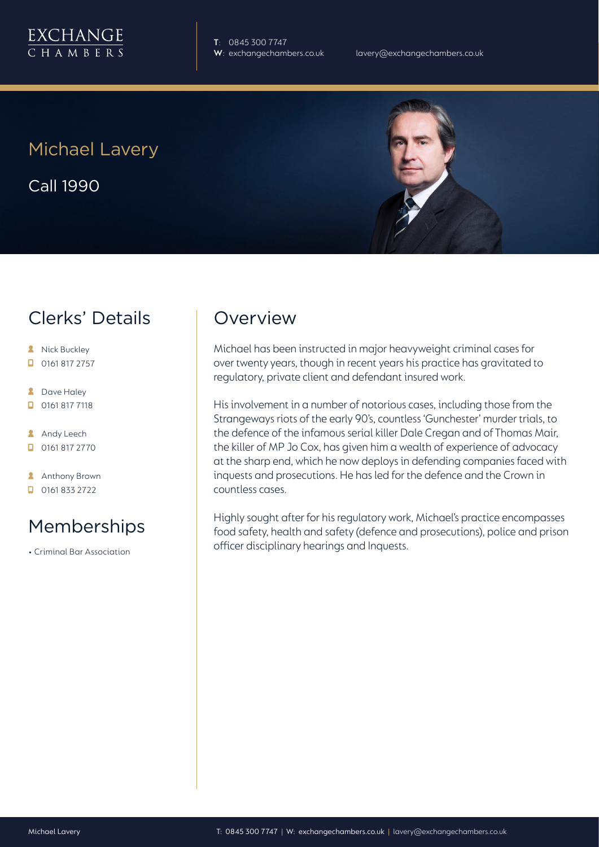

**T**: 0845 300 7747

Michael Lavery Call 1990



# Clerks' Details

- **A** Nick Buckley  $\Box$  0161 817 2757
- 
- **2** Dave Haley
- $\Box$  0161 817 7118
- **Andy Leech**
- 0161 817 2770
- **Anthony Brown**
- $\Box$  0161 833 2722

# Memberships

• Criminal Bar Association

### Overview

Michael has been instructed in major heavyweight criminal cases for over twenty years, though in recent years his practice has gravitated to regulatory, private client and defendant insured work.

His involvement in a number of notorious cases, including those from the Strangeways riots of the early 90's, countless 'Gunchester' murder trials, to the defence of the infamous serial killer Dale Cregan and of Thomas Mair, the killer of MP Jo Cox, has given him a wealth of experience of advocacy at the sharp end, which he now deploys in defending companies faced with inquests and prosecutions. He has led for the defence and the Crown in countless cases.

Highly sought after for his regulatory work, Michael's practice encompasses food safety, health and safety (defence and prosecutions), police and prison officer disciplinary hearings and Inquests.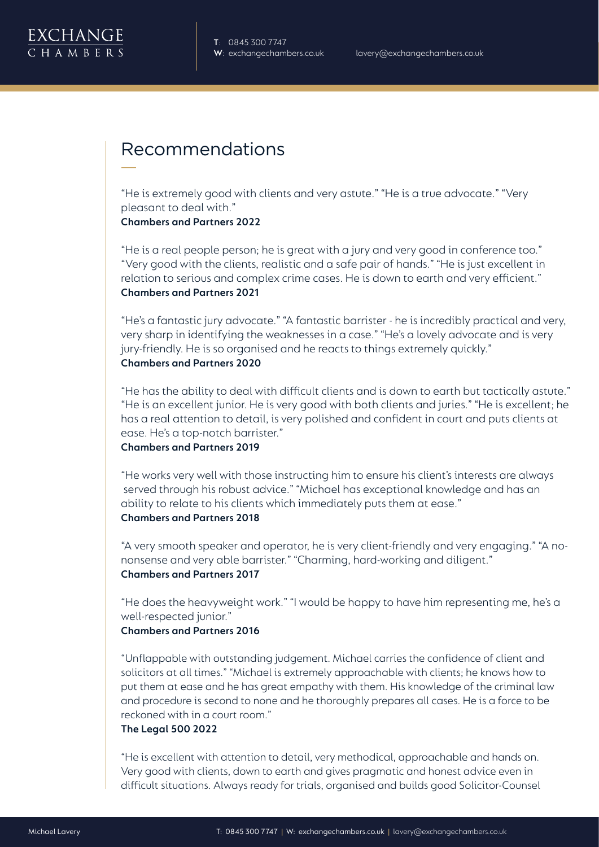## Recommendations

"He is extremely good with clients and very astute." "He is a true advocate." "Very pleasant to deal with."

**Chambers and Partners 2022**

"He is a real people person; he is great with a jury and very good in conference too." "Very good with the clients, realistic and a safe pair of hands." "He is just excellent in relation to serious and complex crime cases. He is down to earth and very efficient." **Chambers and Partners 2021**

"He's a fantastic jury advocate." "A fantastic barrister - he is incredibly practical and very, very sharp in identifying the weaknesses in a case." "He's a lovely advocate and is very jury-friendly. He is so organised and he reacts to things extremely quickly." **Chambers and Partners 2020**

"He has the ability to deal with difficult clients and is down to earth but tactically astute." "He is an excellent junior. He is very good with both clients and juries." "He is excellent; he has a real attention to detail, is very polished and confident in court and puts clients at ease. He's a top-notch barrister."

**Chambers and Partners 2019** 

"He works very well with those instructing him to ensure his client's interests are always served through his robust advice." "Michael has exceptional knowledge and has an ability to relate to his clients which immediately puts them at ease." **Chambers and Partners 2018**

"A very smooth speaker and operator, he is very client-friendly and very engaging." "A nononsense and very able barrister." "Charming, hard-working and diligent." **Chambers and Partners 2017**

"He does the heavyweight work." "I would be happy to have him representing me, he's a well-respected junior."

#### **Chambers and Partners 2016**

"Unflappable with outstanding judgement. Michael carries the confidence of client and solicitors at all times." "Michael is extremely approachable with clients; he knows how to put them at ease and he has great empathy with them. His knowledge of the criminal law and procedure is second to none and he thoroughly prepares all cases. He is a force to be reckoned with in a court room."

#### **The Legal 500 2022**

"He is excellent with attention to detail, very methodical, approachable and hands on. Very good with clients, down to earth and gives pragmatic and honest advice even in difficult situations. Always ready for trials, organised and builds good Solicitor-Counsel